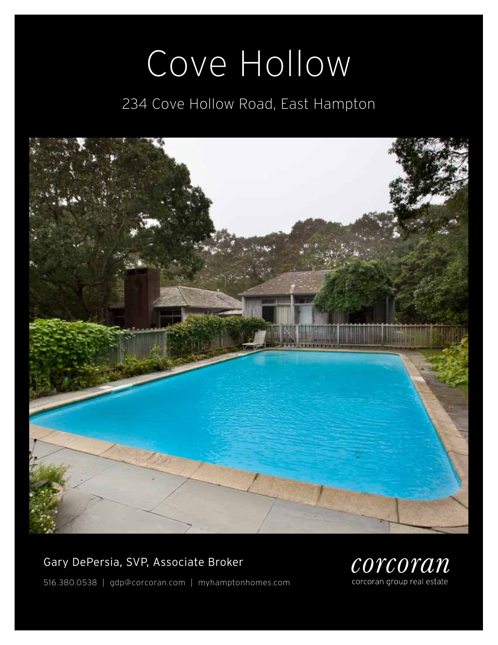# Cove Hollow

# 234 Cove Hollow Road, East Hampton



# Gary DePersia, SVP, Associate Broker



516.380.0538 | gdp@corcoran.com | myhamptonhomes.com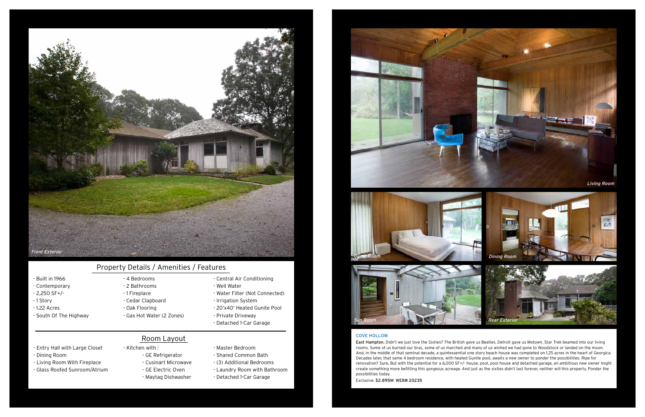### Cove hollow

East Hampton. Didn't we just love the Sixties? The British gave us Beatles. Detroit gave us Motown. Star Trek beamed into our living rooms. Some of us burned our bras, some of us marched and many of us wished we had gone to Woodstock or landed on the moon. And, in the middle of that seminal decade, a quintessential one story beach house was completed on 1.25 acres in the heart of Georgica. Decades later, that same 4 bedroom residence, with heated Gunite pool, awaits a new owner to ponder the possibilities. Ripe for renovation? Sure. But with the potential for a 6,000 SF+/- house, pool, pool house and detached garage, an ambitious new owner might create something more befitting this gorgeous acreage. And just as the sixties didn't last forever, neither will this property. Ponder the possibilities today.

Exclusive. \$2.895M WEB# 20235

- Built in 1966
- Contemporary
- 2,250 SF+/-
- 1 Story
- 1.22 Acres
- South Of The Highway
- 4 Bedrooms - 2 Bathrooms
- 1 Fireplace
- Cedar Clapboard
- Oak Flooring
- Gas Hot Water (2 Zones)
	-

- Central Air Conditioning

- Well Water

- Water Filter (Not Connected)

- Irrigation System

- 20'x40' Heated Gunite Pool

- Private Driveway - Detached 1-Car Garage

# Property Details / Amenities / Features

- Entry Hall with Large Closet
- Dining Room
- Living Room With Fireplace
- Glass Roofed Sunroom/Atrium

- GE Refrigerator

- 
- 
- Cusinart Microwave
- GE Electric Oven
- Maytag Dishwasher
- Master Bedroom

### - Kitchen with : Room Layout

- Shared Common Bath

- (3) Additional Bedrooms
- Laundry Room with Bathroom
- Detached 1-Car Garage